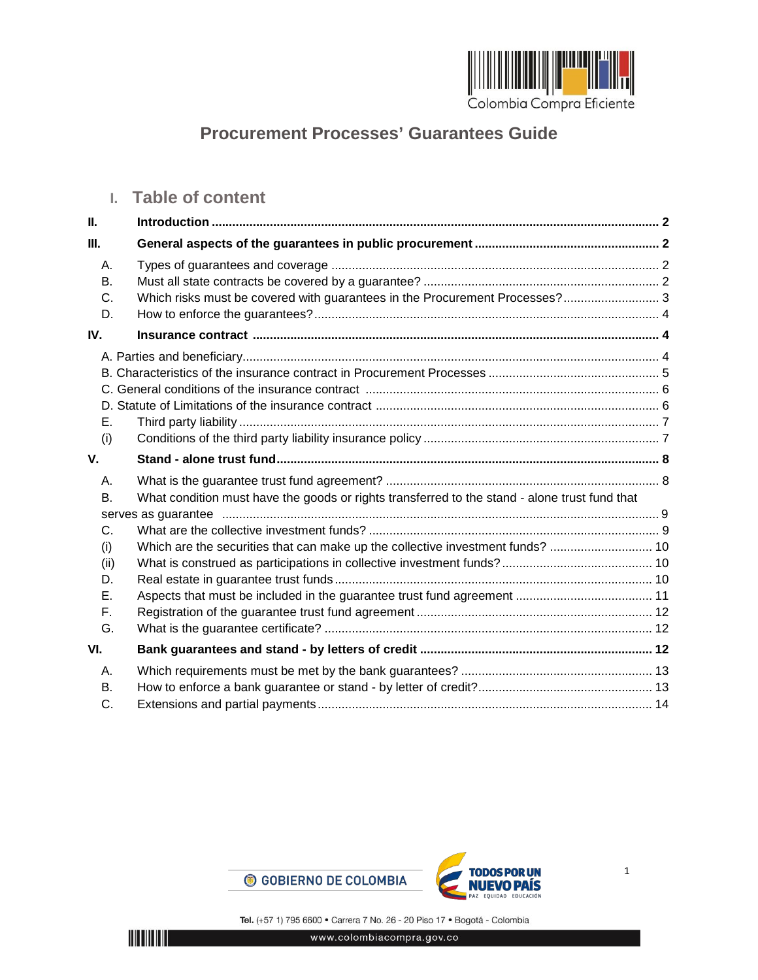

# **Procurement Processes' Guarantees Guide**

## **I. Table of content**

| Ш.        |                                                                                               |  |
|-----------|-----------------------------------------------------------------------------------------------|--|
| Ш.        |                                                                                               |  |
| Α.        |                                                                                               |  |
| В.        |                                                                                               |  |
| C.        | Which risks must be covered with guarantees in the Procurement Processes? 3                   |  |
| D.        |                                                                                               |  |
| IV.       |                                                                                               |  |
|           |                                                                                               |  |
|           |                                                                                               |  |
|           |                                                                                               |  |
|           |                                                                                               |  |
| Е.        |                                                                                               |  |
| (i)       |                                                                                               |  |
| V.        |                                                                                               |  |
|           |                                                                                               |  |
| Α.        |                                                                                               |  |
| <b>B.</b> | What condition must have the goods or rights transferred to the stand - alone trust fund that |  |
|           |                                                                                               |  |
| C.        |                                                                                               |  |
| (i)       | Which are the securities that can make up the collective investment funds?  10                |  |
| (ii)      |                                                                                               |  |
| D.        |                                                                                               |  |
| Е.        |                                                                                               |  |
| F.        |                                                                                               |  |
| G.        |                                                                                               |  |
| VI.       |                                                                                               |  |
| Α.        |                                                                                               |  |
| В.        |                                                                                               |  |

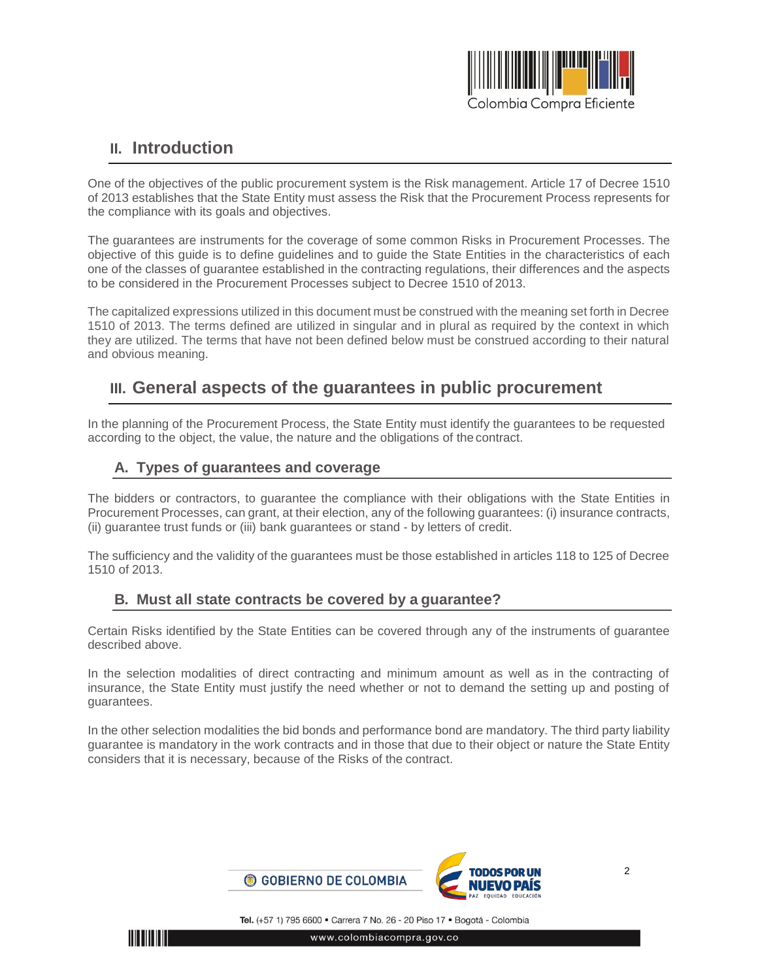

## <span id="page-1-0"></span>**II. Introduction**

One of the objectives of the public procurement system is the Risk management. Article 17 of Decree 1510 of 2013 establishes that the State Entity must assess the Risk that the Procurement Process represents for the compliance with its goals and objectives.

The guarantees are instruments for the coverage of some common Risks in Procurement Processes. The objective of this guide is to define guidelines and to guide the State Entities in the characteristics of each one of the classes of guarantee established in the contracting regulations, their differences and the aspects to be considered in the Procurement Processes subject to Decree 1510 of 2013.

The capitalized expressions utilized in this document must be construed with the meaning set forth in Decree 1510 of 2013. The terms defined are utilized in singular and in plural as required by the context in which they are utilized. The terms that have not been defined below must be construed according to their natural and obvious meaning.

## <span id="page-1-1"></span>**III. General aspects of the guarantees in public procurement**

In the planning of the Procurement Process, the State Entity must identify the guarantees to be requested according to the object, the value, the nature and the obligations of the contract.

### <span id="page-1-2"></span>**A. Types of guarantees and coverage**

The bidders or contractors, to guarantee the compliance with their obligations with the State Entities in Procurement Processes, can grant, at their election, any of the following guarantees: (i) insurance contracts, (ii) guarantee trust funds or (iii) bank guarantees or stand - by letters of credit.

The sufficiency and the validity of the guarantees must be those established in articles 118 to 125 of Decree 1510 of 2013.

### <span id="page-1-3"></span>**B. Must all state contracts be covered by a guarantee?**

Certain Risks identified by the State Entities can be covered through any of the instruments of guarantee described above.

In the selection modalities of direct contracting and minimum amount as well as in the contracting of insurance, the State Entity must justify the need whether or not to demand the setting up and posting of guarantees.

In the other selection modalities the bid bonds and performance bond are mandatory. The third party liability guarantee is mandatory in the work contracts and in those that due to their object or nature the State Entity considers that it is necessary, because of the Risks of the contract.



Tel. (+57 1) 795 6600 · Carrera 7 No. 26 - 20 Piso 17 · Bogotá - Colombia

www.colombiacompra.gov.co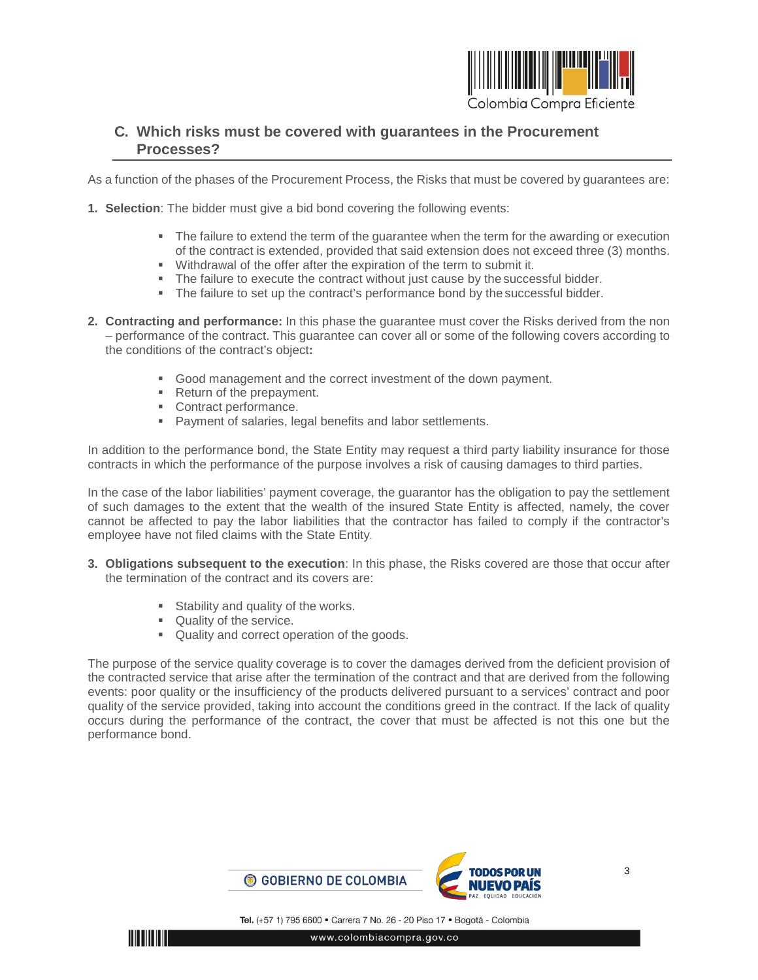

### <span id="page-2-0"></span>**C. Which risks must be covered with guarantees in the Procurement Processes?**

As a function of the phases of the Procurement Process, the Risks that must be covered by guarantees are:

- **1. Selection**: The bidder must give a bid bond covering the following events:
	- The failure to extend the term of the guarantee when the term for the awarding or execution of the contract is extended, provided that said extension does not exceed three (3) months.
	- Withdrawal of the offer after the expiration of the term to submit it.
	- The failure to execute the contract without just cause by the successful bidder.
	- The failure to set up the contract's performance bond by the successful bidder.
- **2. Contracting and performance:** In this phase the guarantee must cover the Risks derived from the non – performance of the contract. This guarantee can cover all or some of the following covers according to the conditions of the contract's object**:**
	- Good management and the correct investment of the down payment.
	- Return of the prepayment.
	- **Contract performance.**
	- Payment of salaries, legal benefits and labor settlements.

In addition to the performance bond, the State Entity may request a third party liability insurance for those contracts in which the performance of the purpose involves a risk of causing damages to third parties.

In the case of the labor liabilities' payment coverage, the guarantor has the obligation to pay the settlement of such damages to the extent that the wealth of the insured State Entity is affected, namely, the cover cannot be affected to pay the labor liabilities that the contractor has failed to comply if the contractor's employee have not filed claims with the State Entity.

- **3. Obligations subsequent to the execution**: In this phase, the Risks covered are those that occur after the termination of the contract and its covers are:
	- **Stability and quality of the works.**
	- Quality of the service.
	- Quality and correct operation of the goods.

The purpose of the service quality coverage is to cover the damages derived from the deficient provision of the contracted service that arise after the termination of the contract and that are derived from the following events: poor quality or the insufficiency of the products delivered pursuant to a services' contract and poor quality of the service provided, taking into account the conditions greed in the contract. If the lack of quality occurs during the performance of the contract, the cover that must be affected is not this one but the performance bond.

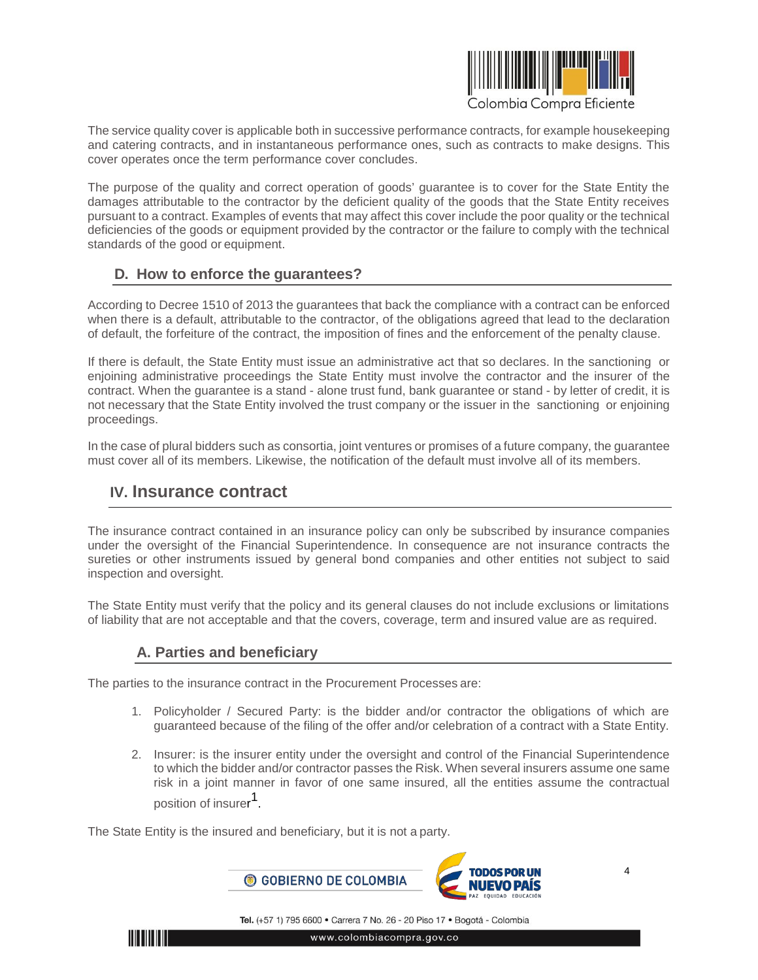

The service quality cover is applicable both in successive performance contracts, for example housekeeping and catering contracts, and in instantaneous performance ones, such as contracts to make designs. This cover operates once the term performance cover concludes.

The purpose of the quality and correct operation of goods' guarantee is to cover for the State Entity the damages attributable to the contractor by the deficient quality of the goods that the State Entity receives pursuant to a contract. Examples of events that may affect this cover include the poor quality or the technical deficiencies of the goods or equipment provided by the contractor or the failure to comply with the technical standards of the good or equipment.

### <span id="page-3-0"></span>**D. How to enforce the guarantees?**

According to Decree 1510 of 2013 the guarantees that back the compliance with a contract can be enforced when there is a default, attributable to the contractor, of the obligations agreed that lead to the declaration of default, the forfeiture of the contract, the imposition of fines and the enforcement of the penalty clause.

If there is default, the State Entity must issue an administrative act that so declares. In the sanctioning or enjoining administrative proceedings the State Entity must involve the contractor and the insurer of the contract. When the guarantee is a stand - alone trust fund, bank guarantee or stand - by letter of credit, it is not necessary that the State Entity involved the trust company or the issuer in the sanctioning or enjoining proceedings.

In the case of plural bidders such as consortia, joint ventures or promises of a future company, the guarantee must cover all of its members. Likewise, the notification of the default must involve all of its members.

## <span id="page-3-1"></span>**IV. Insurance contract**

The insurance contract contained in an insurance policy can only be subscribed by insurance companies under the oversight of the Financial Superintendence. In consequence are not insurance contracts the sureties or other instruments issued by general bond companies and other entities not subject to said inspection and oversight.

The State Entity must verify that the policy and its general clauses do not include exclusions or limitations of liability that are not acceptable and that the covers, coverage, term and insured value are as required.

### <span id="page-3-2"></span>**A. Parties and beneficiary**

The parties to the insurance contract in the Procurement Processes are:

- 1. Policyholder / Secured Party: is the bidder and/or contractor the obligations of which are guaranteed because of the filing of the offer and/or celebration of a contract with a State Entity.
- 2. Insurer: is the insurer entity under the oversight and control of the Financial Superintendence to which the bidder and/or contractor passes the Risk. When several insurers assume one same risk in a joint manner in favor of one same insured, all the entities assume the contractual position of insurer 1.

The State Entity is the insured and beneficiary, but it is not a party.



Tel. (+57 1) 795 6600 · Carrera 7 No. 26 - 20 Piso 17 · Bogotá - Colombia

**TITLETININ** 

www.colombiacompra.gov.co

4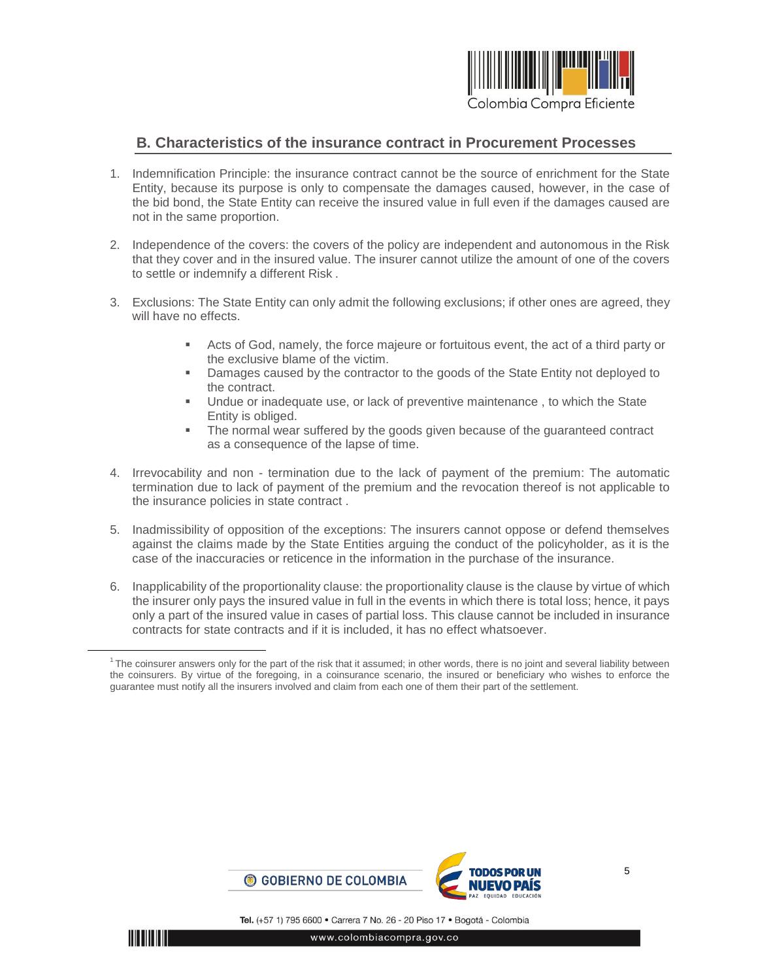

#### <span id="page-4-0"></span>**B. Characteristics of the insurance contract in Procurement Processes**

- 1. Indemnification Principle: the insurance contract cannot be the source of enrichment for the State Entity, because its purpose is only to compensate the damages caused, however, in the case of the bid bond, the State Entity can receive the insured value in full even if the damages caused are not in the same proportion.
- 2. Independence of the covers: the covers of the policy are independent and autonomous in the Risk that they cover and in the insured value. The insurer cannot utilize the amount of one of the covers to settle or indemnify a different Risk .
- 3. Exclusions: The State Entity can only admit the following exclusions; if other ones are agreed, they will have no effects.
	- Acts of God, namely, the force majeure or fortuitous event, the act of a third party or the exclusive blame of the victim.
	- **Damages caused by the contractor to the goods of the State Entity not deployed to** the contract.
	- Undue or inadequate use, or lack of preventive maintenance , to which the State Entity is obliged.
	- The normal wear suffered by the goods given because of the guaranteed contract as a consequence of the lapse of time.
- 4. Irrevocability and non termination due to the lack of payment of the premium: The automatic termination due to lack of payment of the premium and the revocation thereof is not applicable to the insurance policies in state contract .
- 5. Inadmissibility of opposition of the exceptions: The insurers cannot oppose or defend themselves against the claims made by the State Entities arguing the conduct of the policyholder, as it is the case of the inaccuracies or reticence in the information in the purchase of the insurance.
- 6. Inapplicability of the proportionality clause: the proportionality clause is the clause by virtue of which the insurer only pays the insured value in full in the events in which there is total loss; hence, it pays only a part of the insured value in cases of partial loss. This clause cannot be included in insurance contracts for state contracts and if it is included, it has no effect whatsoever.



<sup>&</sup>lt;sup>1</sup> The coinsurer answers only for the part of the risk that it assumed; in other words, there is no joint and several liability between the coinsurers. By virtue of the foregoing, in a coinsurance scenario, the insured or beneficiary who wishes to enforce the guarantee must notify all the insurers involved and claim from each one of them their part of the settlement.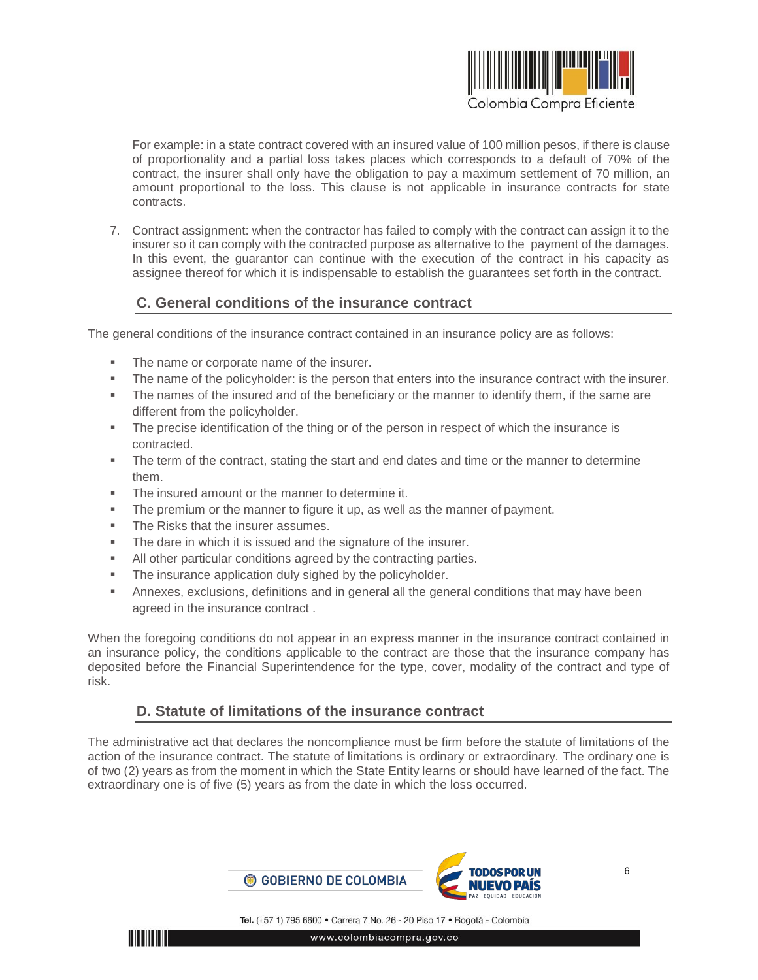

For example: in a state contract covered with an insured value of 100 million pesos, if there is clause of proportionality and a partial loss takes places which corresponds to a default of 70% of the contract, the insurer shall only have the obligation to pay a maximum settlement of 70 million, an amount proportional to the loss. This clause is not applicable in insurance contracts for state contracts.

7. Contract assignment: when the contractor has failed to comply with the contract can assign it to the insurer so it can comply with the contracted purpose as alternative to the payment of the damages. In this event, the guarantor can continue with the execution of the contract in his capacity as assignee thereof for which it is indispensable to establish the guarantees set forth in the contract.

### <span id="page-5-0"></span>**C. General conditions of the insurance contract**

The general conditions of the insurance contract contained in an insurance policy are as follows:

- The name or corporate name of the insurer.
- The name of the policyholder: is the person that enters into the insurance contract with the insurer.
- The names of the insured and of the beneficiary or the manner to identify them, if the same are different from the policyholder.
- The precise identification of the thing or of the person in respect of which the insurance is contracted.
- The term of the contract, stating the start and end dates and time or the manner to determine them.
- **The insured amount or the manner to determine it.**
- The premium or the manner to figure it up, as well as the manner of payment.
- The Risks that the insurer assumes.
- **The dare in which it is issued and the signature of the insurer.**
- All other particular conditions agreed by the contracting parties.
- **The insurance application duly sighed by the policyholder.**
- Annexes, exclusions, definitions and in general all the general conditions that may have been agreed in the insurance contract .

When the foregoing conditions do not appear in an express manner in the insurance contract contained in an insurance policy, the conditions applicable to the contract are those that the insurance company has deposited before the Financial Superintendence for the type, cover, modality of the contract and type of risk.

### <span id="page-5-1"></span>**D. Statute of limitations of the insurance contract**

The administrative act that declares the noncompliance must be firm before the statute of limitations of the action of the insurance contract. The statute of limitations is ordinary or extraordinary. The ordinary one is of two (2) years as from the moment in which the State Entity learns or should have learned of the fact. The extraordinary one is of five (5) years as from the date in which the loss occurred.



www.colombiacompra.gov.co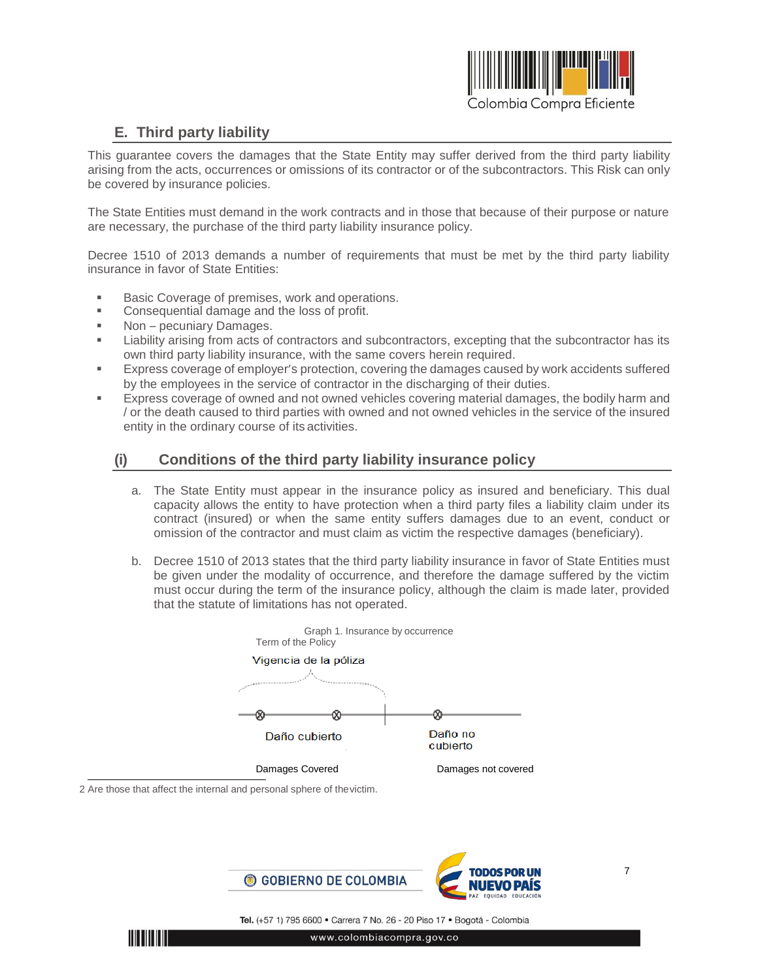

## <span id="page-6-0"></span>**E. Third party liability**

This guarantee covers the damages that the State Entity may suffer derived from the third party liability arising from the acts, occurrences or omissions of its contractor or of the subcontractors. This Risk can only be covered by insurance policies.

The State Entities must demand in the work contracts and in those that because of their purpose or nature are necessary, the purchase of the third party liability insurance policy.

Decree 1510 of 2013 demands a number of requirements that must be met by the third party liability insurance in favor of State Entities:

- Basic Coverage of premises, work and operations.
- Consequential damage and the loss of profit.
- Non pecuniary Damages.
- **EXECT** Liability arising from acts of contractors and subcontractors, excepting that the subcontractor has its own third party liability insurance, with the same covers herein required.
- Express coverage of employer's protection, covering the damages caused by work accidents suffered by the employees in the service of contractor in the discharging of their duties.
- Express coverage of owned and not owned vehicles covering material damages, the bodily harm and / or the death caused to third parties with owned and not owned vehicles in the service of the insured entity in the ordinary course of its activities.

## **(i) Conditions of the third party liability insurance policy**

- <span id="page-6-1"></span>a. The State Entity must appear in the insurance policy as insured and beneficiary. This dual capacity allows the entity to have protection when a third party files a liability claim under its contract (insured) or when the same entity suffers damages due to an event, conduct or omission of the contractor and must claim as victim the respective damages (beneficiary).
- b. Decree 1510 of 2013 states that the third party liability insurance in favor of State Entities must be given under the modality of occurrence, and therefore the damage suffered by the victim must occur during the term of the insurance policy, although the claim is made later, provided that the statute of limitations has not operated.



2 Are those that affect the internal and personal sphere of thevictim.

**IIII IIIIIIII** 



7

Tel. (+57 1) 795 6600 · Carrera 7 No. 26 - 20 Piso 17 · Bogotá - Colombia www.colombiacompra.gov.co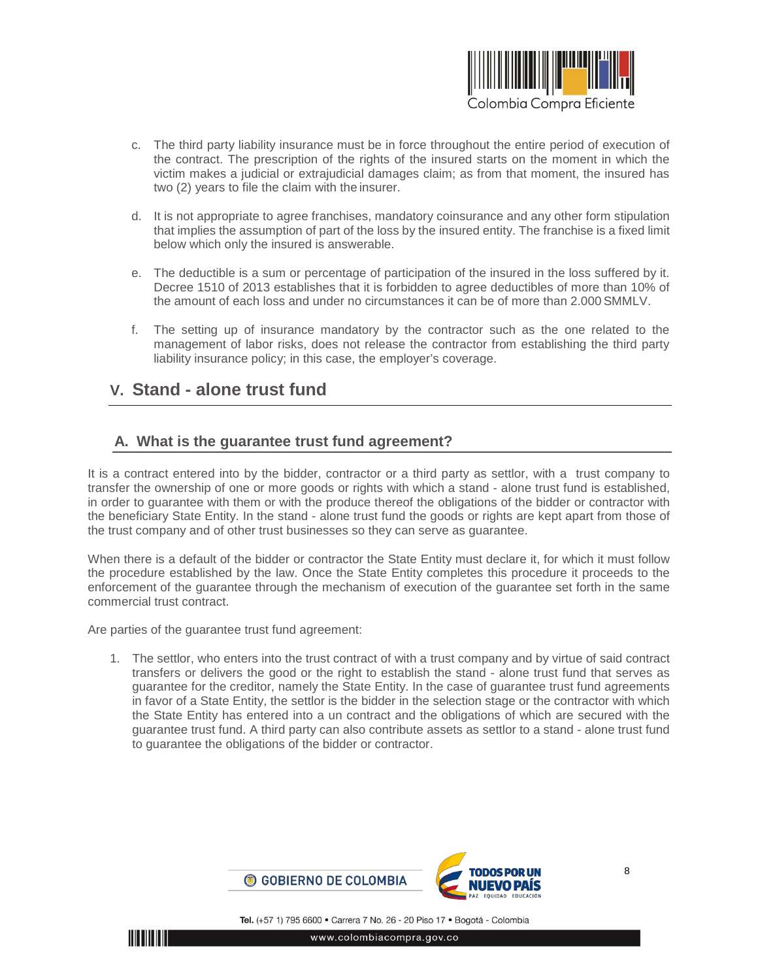

- c. The third party liability insurance must be in force throughout the entire period of execution of the contract. The prescription of the rights of the insured starts on the moment in which the victim makes a judicial or extrajudicial damages claim; as from that moment, the insured has two (2) years to file the claim with the insurer.
- d. It is not appropriate to agree franchises, mandatory coinsurance and any other form stipulation that implies the assumption of part of the loss by the insured entity. The franchise is a fixed limit below which only the insured is answerable.
- e. The deductible is a sum or percentage of participation of the insured in the loss suffered by it. Decree 1510 of 2013 establishes that it is forbidden to agree deductibles of more than 10% of the amount of each loss and under no circumstances it can be of more than 2.000 SMMLV.
- f. The setting up of insurance mandatory by the contractor such as the one related to the management of labor risks, does not release the contractor from establishing the third party liability insurance policy; in this case, the employer's coverage.

## <span id="page-7-0"></span>**V. Stand - alone trust fund**

### <span id="page-7-1"></span>**A. What is the guarantee trust fund agreement?**

It is a contract entered into by the bidder, contractor or a third party as settlor, with a trust company to transfer the ownership of one or more goods or rights with which a stand - alone trust fund is established, in order to guarantee with them or with the produce thereof the obligations of the bidder or contractor with the beneficiary State Entity. In the stand - alone trust fund the goods or rights are kept apart from those of the trust company and of other trust businesses so they can serve as guarantee.

When there is a default of the bidder or contractor the State Entity must declare it, for which it must follow the procedure established by the law. Once the State Entity completes this procedure it proceeds to the enforcement of the guarantee through the mechanism of execution of the guarantee set forth in the same commercial trust contract.

Are parties of the guarantee trust fund agreement:

1. The settlor, who enters into the trust contract of with a trust company and by virtue of said contract transfers or delivers the good or the right to establish the stand - alone trust fund that serves as guarantee for the creditor, namely the State Entity. In the case of guarantee trust fund agreements in favor of a State Entity, the settlor is the bidder in the selection stage or the contractor with which the State Entity has entered into a un contract and the obligations of which are secured with the guarantee trust fund. A third party can also contribute assets as settlor to a stand - alone trust fund to guarantee the obligations of the bidder or contractor.

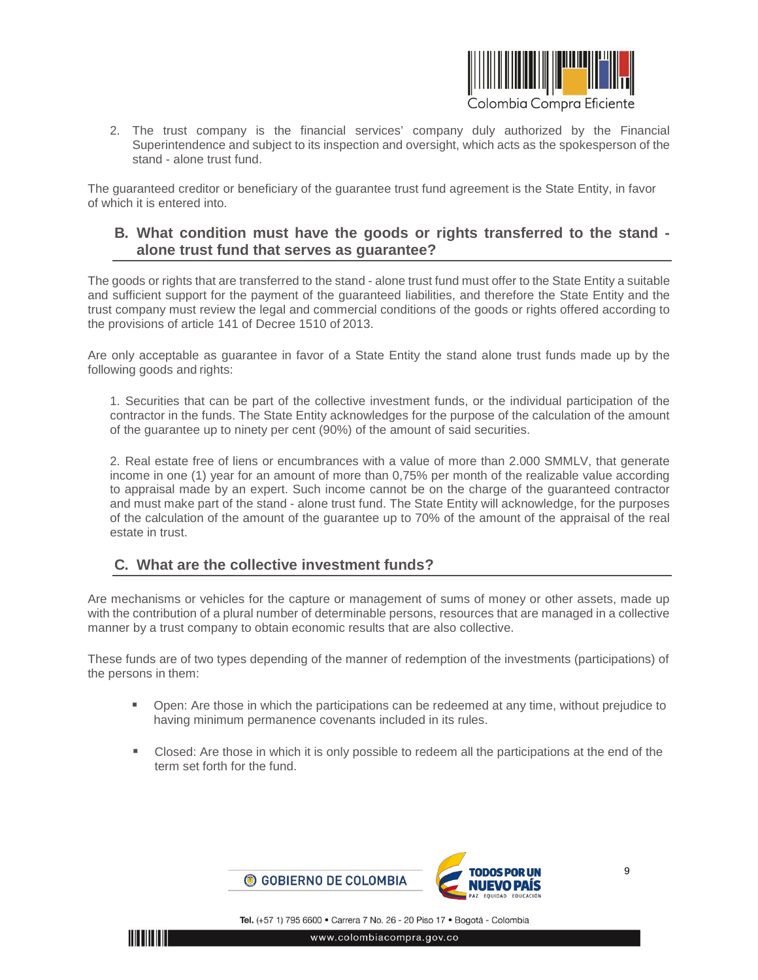

2. The trust company is the financial services' company duly authorized by the Financial Superintendence and subject to its inspection and oversight, which acts as the spokesperson of the stand - alone trust fund.

The guaranteed creditor or beneficiary of the guarantee trust fund agreement is the State Entity, in favor of which it is entered into.

### <span id="page-8-0"></span>**B. What condition must have the goods or rights transferred to the stand alone trust fund that serves as guarantee?**

The goods or rights that are transferred to the stand - alone trust fund must offer to the State Entity a suitable and sufficient support for the payment of the guaranteed liabilities, and therefore the State Entity and the trust company must review the legal and commercial conditions of the goods or rights offered according to the provisions of article 141 of Decree 1510 of 2013.

Are only acceptable as guarantee in favor of a State Entity the stand alone trust funds made up by the following goods and rights:

1. Securities that can be part of the collective investment funds, or the individual participation of the contractor in the funds. The State Entity acknowledges for the purpose of the calculation of the amount of the guarantee up to ninety per cent (90%) of the amount of said securities.

2. Real estate free of liens or encumbrances with a value of more than 2.000 SMMLV, that generate income in one (1) year for an amount of more than 0,75% per month of the realizable value according to appraisal made by an expert. Such income cannot be on the charge of the guaranteed contractor and must make part of the stand - alone trust fund. The State Entity will acknowledge, for the purposes of the calculation of the amount of the guarantee up to 70% of the amount of the appraisal of the real estate in trust.

### <span id="page-8-1"></span>**C. What are the collective investment funds?**

Are mechanisms or vehicles for the capture or management of sums of money or other assets, made up with the contribution of a plural number of determinable persons, resources that are managed in a collective manner by a trust company to obtain economic results that are also collective.

These funds are of two types depending of the manner of redemption of the investments (participations) of the persons in them:

- Open: Are those in which the participations can be redeemed at any time, without prejudice to having minimum permanence covenants included in its rules.
- Closed: Are those in which it is only possible to redeem all the participations at the end of the term set forth for the fund.

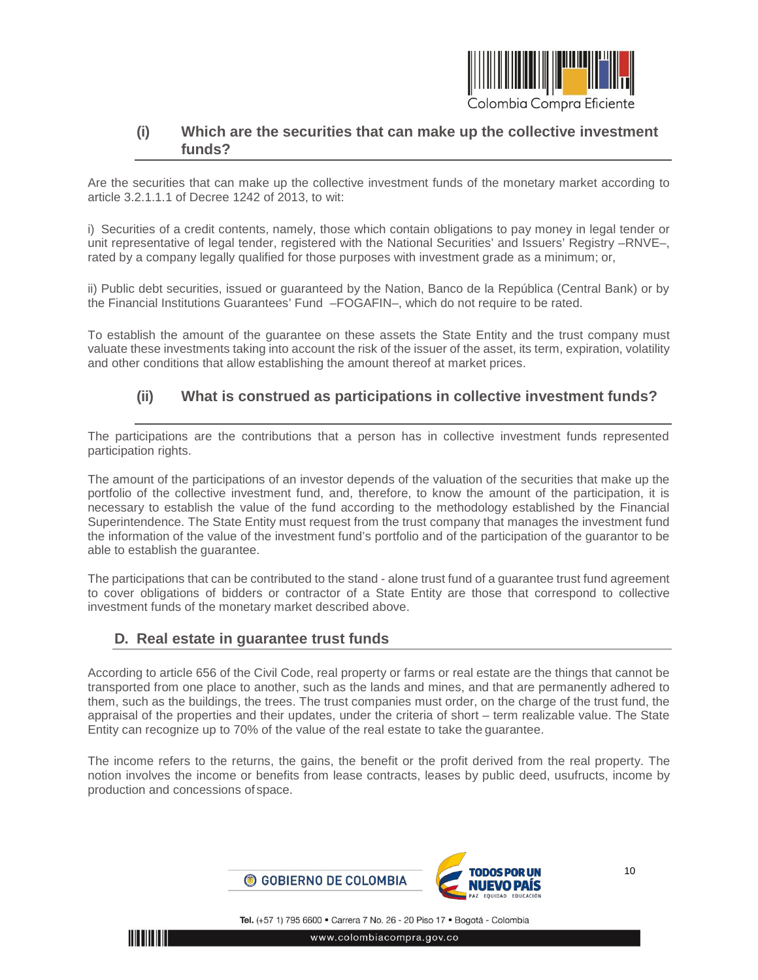

### <span id="page-9-0"></span>**(i) Which are the securities that can make up the collective investment funds?**

Are the securities that can make up the collective investment funds of the monetary market according to article 3.2.1.1.1 of Decree 1242 of 2013, to wit:

i) Securities of a credit contents, namely, those which contain obligations to pay money in legal tender or unit representative of legal tender, registered with the National Securities' and Issuers' Registry –RNVE–, rated by a company legally qualified for those purposes with investment grade as a minimum; or,

ii) Public debt securities, issued or guaranteed by the Nation, Banco de la República (Central Bank) or by the Financial Institutions Guarantees' Fund –FOGAFIN–, which do not require to be rated.

To establish the amount of the guarantee on these assets the State Entity and the trust company must valuate these investments taking into account the risk of the issuer of the asset, its term, expiration, volatility and other conditions that allow establishing the amount thereof at market prices.

## <span id="page-9-1"></span>**(ii) What is construed as participations in collective investment funds?**

The participations are the contributions that a person has in collective investment funds represented participation rights.

The amount of the participations of an investor depends of the valuation of the securities that make up the portfolio of the collective investment fund, and, therefore, to know the amount of the participation, it is necessary to establish the value of the fund according to the methodology established by the Financial Superintendence. The State Entity must request from the trust company that manages the investment fund the information of the value of the investment fund's portfolio and of the participation of the guarantor to be able to establish the guarantee.

The participations that can be contributed to the stand - alone trust fund of a guarantee trust fund agreement to cover obligations of bidders or contractor of a State Entity are those that correspond to collective investment funds of the monetary market described above.

### <span id="page-9-2"></span>**D. Real estate in guarantee trust funds**

According to article 656 of the Civil Code, real property or farms or real estate are the things that cannot be transported from one place to another, such as the lands and mines, and that are permanently adhered to them, such as the buildings, the trees. The trust companies must order, on the charge of the trust fund, the appraisal of the properties and their updates, under the criteria of short – term realizable value. The State Entity can recognize up to 70% of the value of the real estate to take the guarantee.

The income refers to the returns, the gains, the benefit or the profit derived from the real property. The notion involves the income or benefits from lease contracts, leases by public deed, usufructs, income by production and concessions of space.



Tel. (+57 1) 795 6600 · Carrera 7 No. 26 - 20 Piso 17 · Bogotá - Colombia

www.colombiacompra.gov.co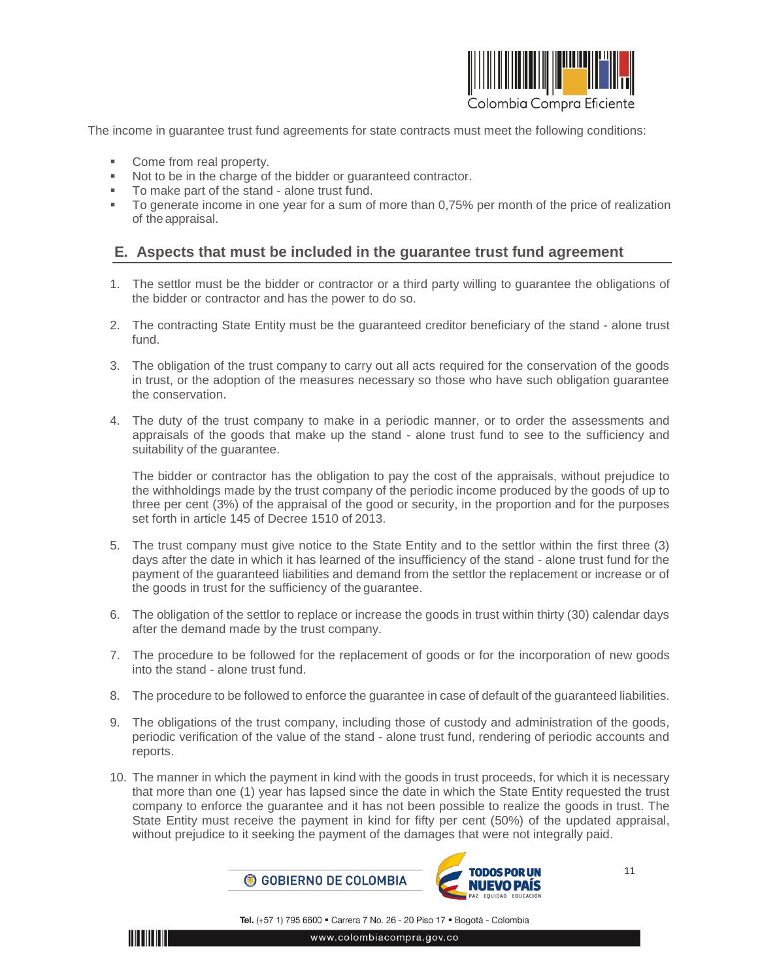

The income in guarantee trust fund agreements for state contracts must meet the following conditions:

- Come from real property.
- Not to be in the charge of the bidder or guaranteed contractor.
- To make part of the stand alone trust fund.
- To generate income in one year for a sum of more than 0,75% per month of the price of realization of the appraisal.

### <span id="page-10-0"></span>**E. Aspects that must be included in the guarantee trust fund agreement**

- 1. The settlor must be the bidder or contractor or a third party willing to guarantee the obligations of the bidder or contractor and has the power to do so.
- 2. The contracting State Entity must be the guaranteed creditor beneficiary of the stand alone trust fund.
- 3. The obligation of the trust company to carry out all acts required for the conservation of the goods in trust, or the adoption of the measures necessary so those who have such obligation guarantee the conservation.
- 4. The duty of the trust company to make in a periodic manner, or to order the assessments and appraisals of the goods that make up the stand - alone trust fund to see to the sufficiency and suitability of the guarantee.

The bidder or contractor has the obligation to pay the cost of the appraisals, without prejudice to the withholdings made by the trust company of the periodic income produced by the goods of up to three per cent (3%) of the appraisal of the good or security, in the proportion and for the purposes set forth in article 145 of Decree 1510 of 2013.

- 5. The trust company must give notice to the State Entity and to the settlor within the first three (3) days after the date in which it has learned of the insufficiency of the stand - alone trust fund for the payment of the guaranteed liabilities and demand from the settlor the replacement or increase or of the goods in trust for the sufficiency of the guarantee.
- 6. The obligation of the settlor to replace or increase the goods in trust within thirty (30) calendar days after the demand made by the trust company.
- 7. The procedure to be followed for the replacement of goods or for the incorporation of new goods into the stand - alone trust fund.
- 8. The procedure to be followed to enforce the guarantee in case of default of the guaranteed liabilities.
- 9. The obligations of the trust company, including those of custody and administration of the goods, periodic verification of the value of the stand - alone trust fund, rendering of periodic accounts and reports.
- 10. The manner in which the payment in kind with the goods in trust proceeds, for which it is necessary that more than one (1) year has lapsed since the date in which the State Entity requested the trust company to enforce the guarantee and it has not been possible to realize the goods in trust. The State Entity must receive the payment in kind for fifty per cent (50%) of the updated appraisal, without prejudice to it seeking the payment of the damages that were not integrally paid.



11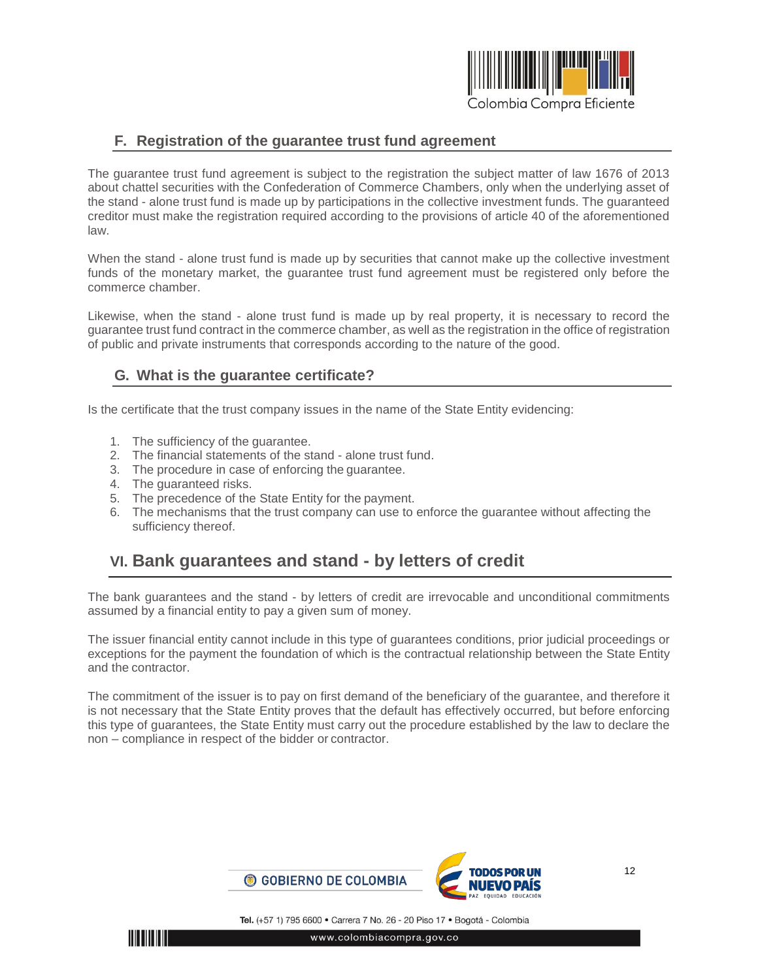

### <span id="page-11-0"></span>**F. Registration of the guarantee trust fund agreement**

The guarantee trust fund agreement is subject to the registration the subject matter of law 1676 of 2013 about chattel securities with the Confederation of Commerce Chambers, only when the underlying asset of the stand - alone trust fund is made up by participations in the collective investment funds. The guaranteed creditor must make the registration required according to the provisions of article 40 of the aforementioned law.

When the stand - alone trust fund is made up by securities that cannot make up the collective investment funds of the monetary market, the guarantee trust fund agreement must be registered only before the commerce chamber.

Likewise, when the stand - alone trust fund is made up by real property, it is necessary to record the guarantee trust fund contract in the commerce chamber, as well as the registration in the office of registration of public and private instruments that corresponds according to the nature of the good.

### <span id="page-11-1"></span>**G. What is the guarantee certificate?**

Is the certificate that the trust company issues in the name of the State Entity evidencing:

- 1. The sufficiency of the guarantee.
- 2. The financial statements of the stand alone trust fund.
- 3. The procedure in case of enforcing the guarantee.
- 4. The guaranteed risks.
- 5. The precedence of the State Entity for the payment.
- 6. The mechanisms that the trust company can use to enforce the guarantee without affecting the sufficiency thereof.

## <span id="page-11-2"></span>**VI. Bank guarantees and stand - by letters of credit**

The bank guarantees and the stand - by letters of credit are irrevocable and unconditional commitments assumed by a financial entity to pay a given sum of money.

The issuer financial entity cannot include in this type of guarantees conditions, prior judicial proceedings or exceptions for the payment the foundation of which is the contractual relationship between the State Entity and the contractor.

The commitment of the issuer is to pay on first demand of the beneficiary of the guarantee, and therefore it is not necessary that the State Entity proves that the default has effectively occurred, but before enforcing this type of guarantees, the State Entity must carry out the procedure established by the law to declare the non – compliance in respect of the bidder or contractor.

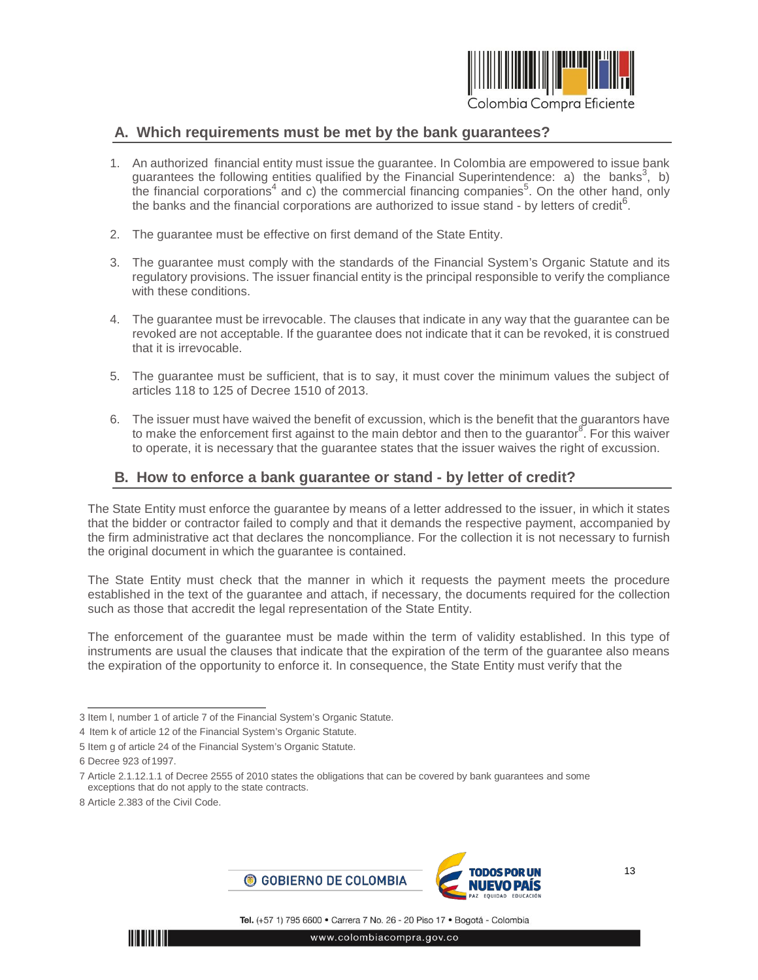

#### <span id="page-12-0"></span>**A. Which requirements must be met by the bank guarantees?**

- 1. An authorized financial entity must issue the guarantee. In Colombia are empowered to issue bank guarantees the following entities qualified by the Financial Superintendence: a) the banks<sup>3</sup>, b) the financial corporations<sup>4</sup> and c) the commercial financing companies<sup>5</sup>. On the other hand, only the banks and the financial corporations are authorized to issue stand - by letters of credit<sup>6</sup>.
- 2. The guarantee must be effective on first demand of the State Entity.
- 3. The guarantee must comply with the standards of the Financial System's Organic Statute and its regulatory provisions. The issuer financial entity is the principal responsible to verify the compliance with these conditions.
- 4. The guarantee must be irrevocable. The clauses that indicate in any way that the guarantee can be revoked are not acceptable. If the guarantee does not indicate that it can be revoked, it is construed that it is irrevocable.
- 5. The guarantee must be sufficient, that is to say, it must cover the minimum values the subject of articles 118 to 125 of Decree 1510 of 2013.
- 6. The issuer must have waived the benefit of excussion, which is the benefit that the guarantors have to make the enforcement first against to the main debtor and then to the guarantor<sup>8</sup>. For this waiver to operate, it is necessary that the guarantee states that the issuer waives the right of excussion.

#### <span id="page-12-1"></span>**B. How to enforce a bank guarantee or stand - by letter of credit?**

The State Entity must enforce the guarantee by means of a letter addressed to the issuer, in which it states that the bidder or contractor failed to comply and that it demands the respective payment, accompanied by the firm administrative act that declares the noncompliance. For the collection it is not necessary to furnish the original document in which the guarantee is contained.

The State Entity must check that the manner in which it requests the payment meets the procedure established in the text of the guarantee and attach, if necessary, the documents required for the collection such as those that accredit the legal representation of the State Entity.

The enforcement of the guarantee must be made within the term of validity established. In this type of instruments are usual the clauses that indicate that the expiration of the term of the guarantee also means the expiration of the opportunity to enforce it. In consequence, the State Entity must verify that the





<sup>3</sup> Item l, number 1 of article 7 of the Financial System's Organic Statute.

<sup>4</sup> Item k of article 12 of the Financial System's Organic Statute.

<sup>5</sup> Item g of article 24 of the Financial System's Organic Statute.

<sup>6</sup> Decree 923 of 1997.

<sup>7</sup> Article 2.1.12.1.1 of Decree 2555 of 2010 states the obligations that can be covered by bank guarantees and some exceptions that do not apply to the state contracts.

<sup>8</sup> Article 2.383 of the Civil Code.